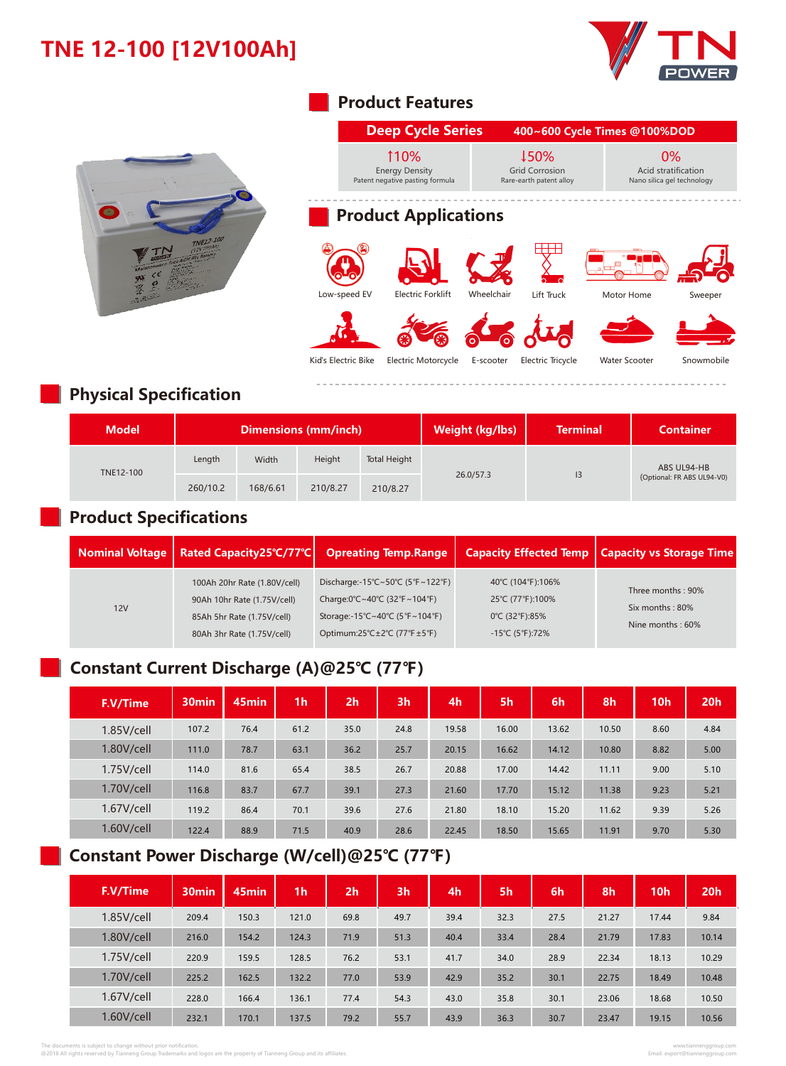# **TNE 12-100 [12V100Ah]**





#### **Product Features**

|                     | 110%<br><b>Energy Density</b><br>Patent negative pasting formula |            | ↓50%<br><b>Grid Corrosion</b><br>Rare-earth patent alloy |                      | 0%<br>Acid stratification<br>Nano silica gel technology |
|---------------------|------------------------------------------------------------------|------------|----------------------------------------------------------|----------------------|---------------------------------------------------------|
|                     | <b>Product Applications</b>                                      |            |                                                          |                      |                                                         |
|                     |                                                                  |            |                                                          |                      |                                                         |
| Low-speed EV        | <b>Electric Forklift</b>                                         | Wheelchair | Lift Truck                                               | Motor Home           | Sweeper                                                 |
|                     |                                                                  |            |                                                          |                      |                                                         |
| Kid's Electric Bike | <b>Electric Motorcycle</b>                                       | E-scooter  | <b>Electric Tricycle</b>                                 | <b>Water Scooter</b> | Snowmobile                                              |

## **Physical Specification**

| <b>Model</b> | <b>Dimensions (mm/inch)</b> |          |          |              | Weight (kg/lbs) | <b>Terminal</b> | Container                  |  |
|--------------|-----------------------------|----------|----------|--------------|-----------------|-----------------|----------------------------|--|
| TNE12-100    | Length                      | Width    | Height   | Total Height |                 |                 | ABS UL94-HB                |  |
|              | 260/10.2                    | 168/6.61 | 210/8.27 | 210/8.27     | 26.0/57.3       | 13              | (Optional: FR ABS UL94-V0) |  |

## **Product Specifications**

|     | Nominal Voltage   Rated Capacity25 °C/77 °C                                                                             | <b>Opreating Temp.Range</b>                                                                                                       |                                                                           | Capacity Effected Temp   Capacity vs Storage Time        |
|-----|-------------------------------------------------------------------------------------------------------------------------|-----------------------------------------------------------------------------------------------------------------------------------|---------------------------------------------------------------------------|----------------------------------------------------------|
| 12V | 100Ah 20hr Rate (1.80V/cell)<br>90Ah 10hr Rate (1.75V/cell)<br>85Ah 5hr Rate (1.75V/cell)<br>80Ah 3hr Rate (1.75V/cell) | Discharge:-15°C~50°C (5°F~122°F)<br>Charge:0°C~40°C (32°F~104°F)<br>Storage:-15°C~40°C (5°F~104°F)<br>Optimum:25°C±2°C (77°F±5°F) | 40°C (104°F):106%<br>25℃ (77°F):100%<br>0°C (32°F):85%<br>-15°C (5°F):72% | Three months: 90%<br>Six months: 80%<br>Nine months: 60% |

## **Constant Current Discharge (A)@25℃ (77℉)**

| F.V/Time   | 30 <sub>min</sub> | 45min | 1 <sub>h</sub> | 2 <sub>h</sub> | 3 <sub>h</sub> | 4 <sub>h</sub> | 5h    | 6h    | 8h    | 10 <sub>h</sub> | 20h  |
|------------|-------------------|-------|----------------|----------------|----------------|----------------|-------|-------|-------|-----------------|------|
| 1.85V/cell | 107.2             | 76.4  | 61.2           | 35.0           | 24.8           | 19.58          | 16.00 | 13.62 | 10.50 | 8.60            | 4.84 |
| 1.80V/cell | 111.0             | 78.7  | 63.1           | 36.2           | 25.7           | 20.15          | 16.62 | 14.12 | 10.80 | 8.82            | 5.00 |
| 1.75V/cell | 114.0             | 81.6  | 65.4           | 38.5           | 26.7           | 20.88          | 17.00 | 14.42 | 11.11 | 9.00            | 5.10 |
| 1.70V/cell | 116.8             | 83.7  | 67.7           | 39.1           | 27.3           | 21.60          | 17.70 | 15.12 | 11.38 | 9.23            | 5.21 |
| 1.67V/cell | 119.2             | 86.4  | 70.1           | 39.6           | 27.6           | 21.80          | 18.10 | 15.20 | 11.62 | 9.39            | 5.26 |
| 1.60V/cell | 122.4             | 88.9  | 71.5           | 40.9           | 28.6           | 22.45          | 18.50 | 15.65 | 11.91 | 9.70            | 5.30 |

### **Constant Power Discharge (W/cell)@25℃ (77℉)**

| F.V/Time   | 30 <sub>min</sub> | 45 <sub>min</sub> | 1 <sub>h</sub> | 2 <sub>h</sub> | 3 <sub>h</sub> | 4h   | 5h   | 6h   | 8h    | 10h   | 20 <sub>h</sub> |
|------------|-------------------|-------------------|----------------|----------------|----------------|------|------|------|-------|-------|-----------------|
| 1.85V/cell | 209.4             | 150.3             | 121.0          | 69.8           | 49.7           | 39.4 | 32.3 | 27.5 | 21.27 | 17.44 | 9.84            |
| 1.80V/cell | 216.0             | 154.2             | 124.3          | 71.9           | 51.3           | 40.4 | 33.4 | 28.4 | 21.79 | 17.83 | 10.14           |
| 1.75V/cell | 220.9             | 159.5             | 128.5          | 76.2           | 53.1           | 41.7 | 34.0 | 28.9 | 22.34 | 18.13 | 10.29           |
| 1.70V/cell | 225.2             | 162.5             | 132.2          | 77.0           | 53.9           | 42.9 | 35.2 | 30.1 | 22.75 | 18.49 | 10.48           |
| 1.67V/cell | 228.0             | 166.4             | 136.1          | 77.4           | 54.3           | 43.0 | 35.8 | 30.1 | 23.06 | 18.68 | 10.50           |
| 1.60V/cell | 232.1             | 170.1             | 137.5          | 79.2           | 55.7           | 43.9 | 36.3 | 30.7 | 23.47 | 19.15 | 10.56           |